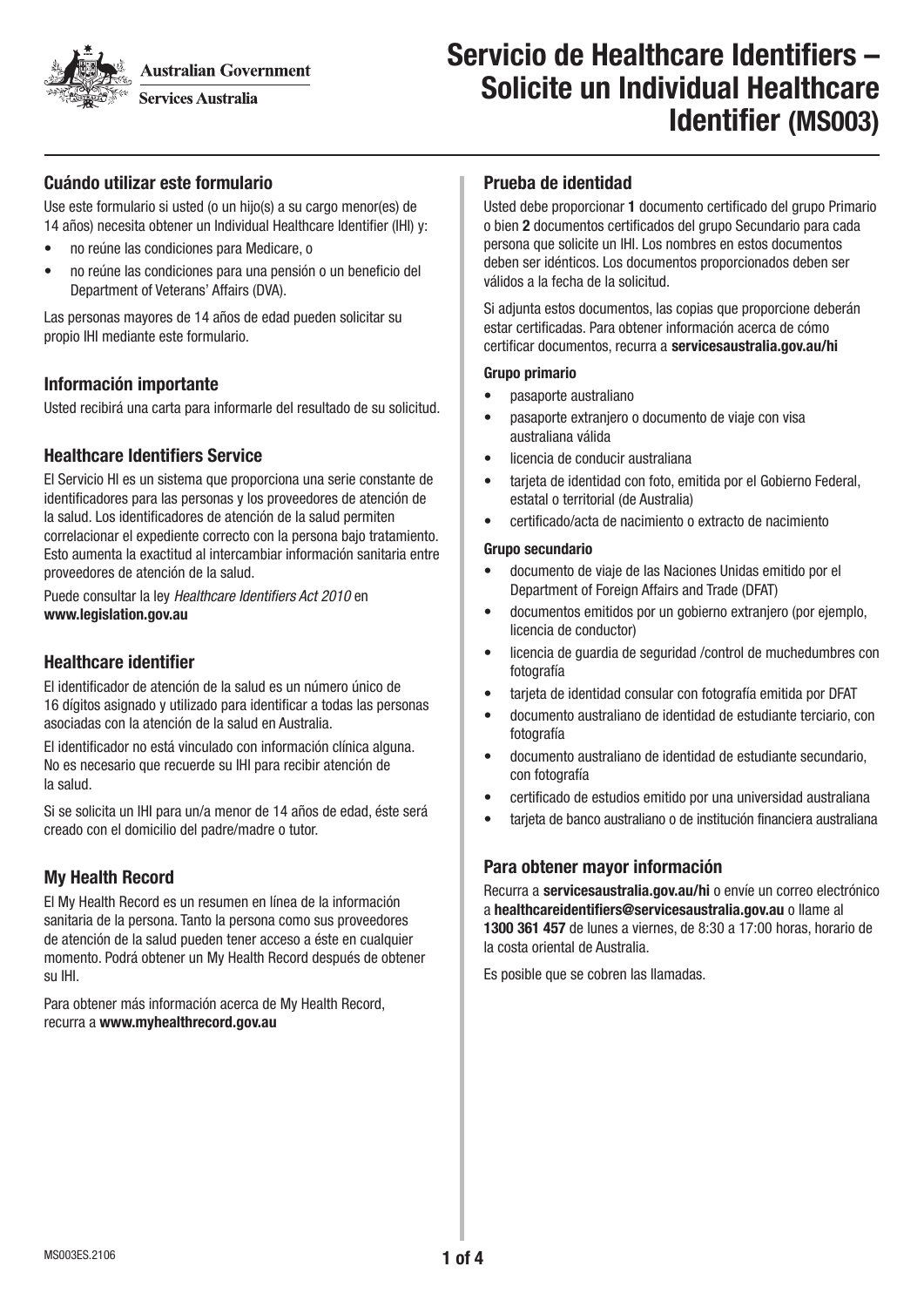**Australian Government** 

**Services Australia** 

# Servicio de Healthcare Identifiers – Solicite un Individual Healthcare Identifier (MS003)

## Cuándo utilizar este formulario

Use este formulario si usted (o un hijo(s) a su cargo menor(es) de 14 años) necesita obtener un Individual Healthcare Identifier (IHI) y:

- no reúne las condiciones para Medicare, o
- no reúne las condiciones para una pensión o un beneficio del Department of Veterans' Affairs (DVA).

Las personas mayores de 14 años de edad pueden solicitar su propio IHI mediante este formulario.

## Información importante

Usted recibirá una carta para informarle del resultado de su solicitud.

# Healthcare Identifiers Service

El Servicio HI es un sistema que proporciona una serie constante de identificadores para las personas y los proveedores de atención de la salud. Los identificadores de atención de la salud permiten correlacionar el expediente correcto con la persona bajo tratamiento. Esto aumenta la exactitud al intercambiar información sanitaria entre proveedores de atención de la salud.

Puede consultar la ley Healthcare Identifiers Act 2010 en www.legislation.gov.au

## Healthcare identifier

El identificador de atención de la salud es un número único de 16 dígitos asignado y utilizado para identificar a todas las personas asociadas con la atención de la salud en Australia.

El identificador no está vinculado con información clínica alguna. No es necesario que recuerde su IHI para recibir atención de la salud.

Si se solicita un IHI para un/a menor de 14 años de edad, éste será creado con el domicilio del padre/madre o tutor.

# My Health Record

El My Health Record es un resumen en línea de la información sanitaria de la persona. Tanto la persona como sus proveedores de atención de la salud pueden tener acceso a éste en cualquier momento. Podrá obtener un My Health Record después de obtener su IHI.

Para obtener más información acerca de My Health Record, recurra a www.myhealthrecord.gov.au

#### Prueba de identidad

Usted debe proporcionar 1 documento certificado del grupo Primario o bien 2 documentos certificados del grupo Secundario para cada persona que solicite un IHI. Los nombres en estos documentos deben ser idénticos. Los documentos proporcionados deben ser válidos a la fecha de la solicitud.

Si adjunta estos documentos, las copias que proporcione deberán estar certificadas. Para obtener información acerca de cómo certificar documentos, recurra a servicesaustralia.gov.au/hi

#### Grupo primario

- pasaporte australiano
- pasaporte extranjero o documento de viaje con visa australiana válida
- licencia de conducir australiana
- tarjeta de identidad con foto, emitida por el Gobierno Federal, estatal o territorial (de Australia)
- certificado/acta de nacimiento o extracto de nacimiento

#### Grupo secundario

- documento de viaje de las Naciones Unidas emitido por el Department of Foreign Affairs and Trade (DFAT)
- documentos emitidos por un gobierno extranjero (por ejemplo, licencia de conductor)
- licencia de guardia de seguridad /control de muchedumbres con fotografía
- tarjeta de identidad consular con fotografía emitida por DFAT
- documento australiano de identidad de estudiante terciario, con fotografía
- documento australiano de identidad de estudiante secundario, con fotografía
- certificado de estudios emitido por una universidad australiana
- tarjeta de banco australiano o de institución financiera australiana

#### Para obtener mayor información

Recurra a servicesaustralia.gov.au/hi o envíe un correo electrónico a healthcareidentifiers@servicesaustralia.gov.au o llame al 1300 361 457 de lunes a viernes, de 8:30 a 17:00 horas, horario de la costa oriental de Australia.

Es posible que se cobren las llamadas.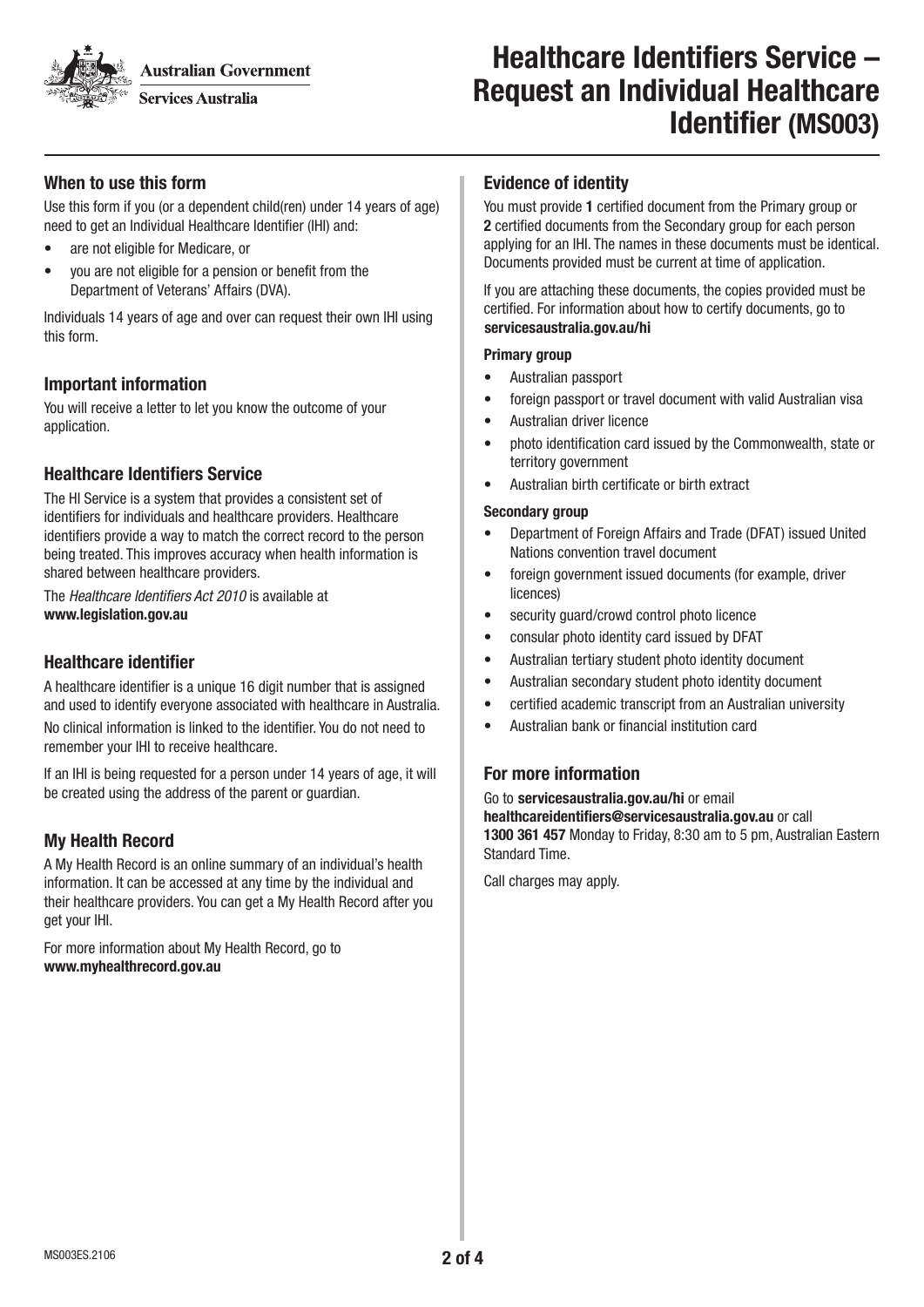**Australian Government** 

**Services Australia** 

# Healthcare Identifiers Service – Request an Individual Healthcare Identifier (MS003)

## When to use this form

Use this form if you (or a dependent child(ren) under 14 years of age) need to get an Individual Healthcare Identifier (IHI) and:

- are not eligible for Medicare, or
- you are not eligible for a pension or benefit from the Department of Veterans' Affairs (DVA).

Individuals 14 years of age and over can request their own IHI using this form.

#### Important information

You will receive a letter to let you know the outcome of your application.

# Healthcare Identifiers Service

The HI Service is a system that provides a consistent set of identifiers for individuals and healthcare providers. Healthcare identifiers provide a way to match the correct record to the person being treated. This improves accuracy when health information is shared between healthcare providers.

The Healthcare Identifiers Act 2010 is available at www.legislation.gov.au

# Healthcare identifier

A healthcare identifier is a unique 16 digit number that is assigned and used to identify everyone associated with healthcare in Australia. No clinical information is linked to the identifier. You do not need to remember your IHI to receive healthcare.

If an IHI is being requested for a person under 14 years of age, it will be created using the address of the parent or guardian.

# My Health Record

A My Health Record is an online summary of an individual's health information. It can be accessed at any time by the individual and their healthcare providers. You can get a My Health Record after you get your IHI.

For more information about My Health Record, go to www.myhealthrecord.gov.au

#### Evidence of identity

You must provide 1 certified document from the Primary group or 2 certified documents from the Secondary group for each person applying for an IHI. The names in these documents must be identical. Documents provided must be current at time of application.

If you are attaching these documents, the copies provided must be certified. For information about how to certify documents, go to servicesaustralia.gov.au/hi

#### Primary group

- Australian passport
- foreign passport or travel document with valid Australian visa
- Australian driver licence
- photo identification card issued by the Commonwealth, state or territory government
- Australian birth certificate or birth extract

#### Secondary group

- Department of Foreign Affairs and Trade (DFAT) issued United Nations convention travel document
- foreign government issued documents (for example, driver licences)
- security guard/crowd control photo licence
- consular photo identity card issued by DFAT
- Australian tertiary student photo identity document
- Australian secondary student photo identity document
- certified academic transcript from an Australian university
- Australian bank or financial institution card

# For more information

Go to servicesaustralia.gov.au/hi or email healthcareidentifiers@servicesaustralia.gov.au or call 1300 361 457 Monday to Friday, 8:30 am to 5 pm, Australian Eastern Standard Time.

Call charges may apply.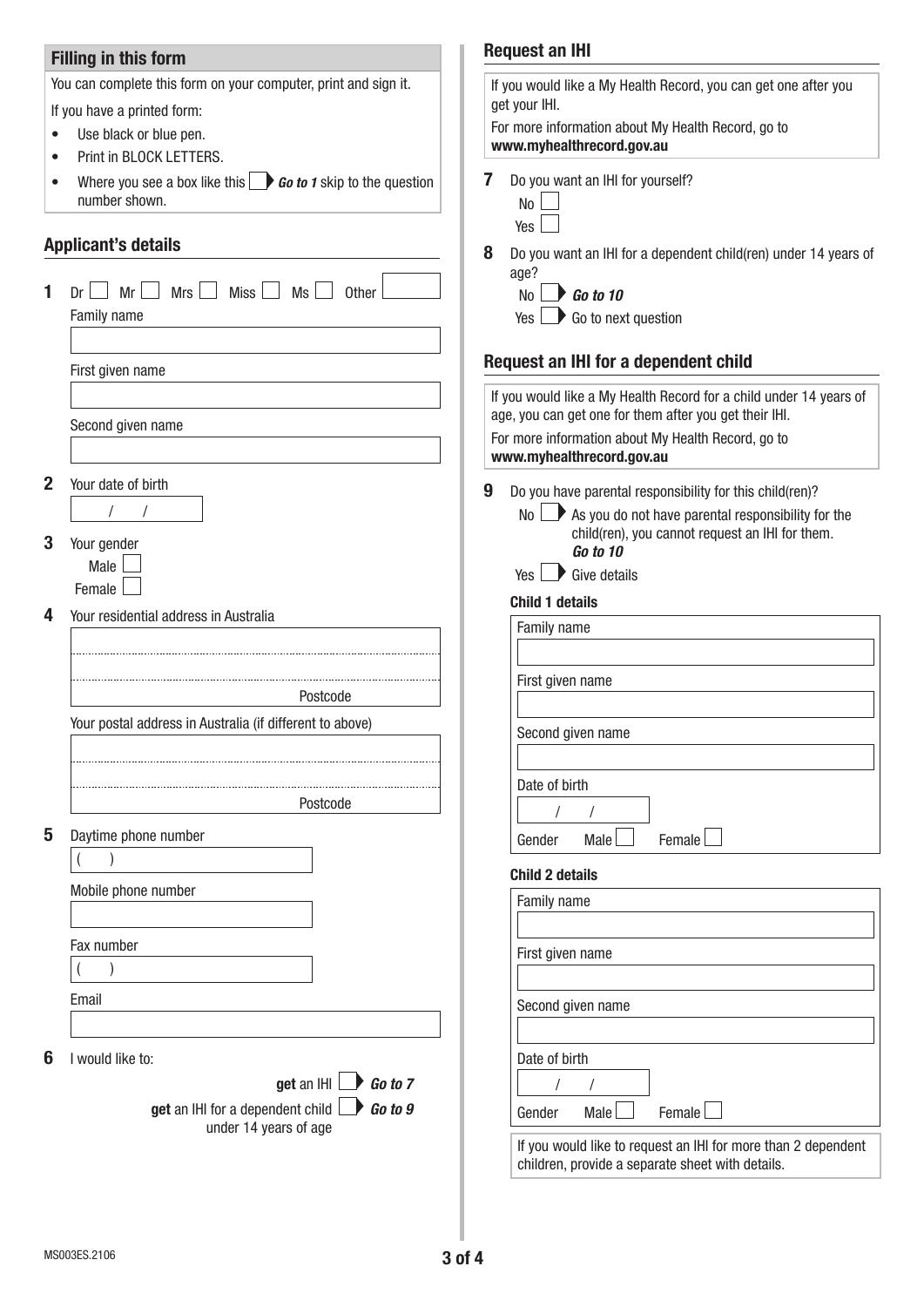# Filling in this form

You can complete this form on your computer, print and sign it.

If you have a printed form:

- Use black or blue pen.
- Print in BLOCK LETTERS.
- Where you see a box like this **Go to 1** skip to the question number shown.

## Applicant's details

|              |                                                                  | U | DU yuu walii al            |
|--------------|------------------------------------------------------------------|---|----------------------------|
|              | $\Box$ Mrs $\Box$ Miss $\Box$ Ms $\Box$<br>$Dr \Box Mr$<br>Other |   | age?<br>No<br>Go t         |
|              | Family name                                                      |   | Go t<br>Yes                |
|              |                                                                  |   |                            |
|              | First given name                                                 |   | <b>Request an IHI</b>      |
|              |                                                                  |   | If you would like a        |
|              |                                                                  |   | age, you can get o         |
|              | Second given name                                                |   | For more informat          |
|              |                                                                  |   | www.myhealthre             |
| $\mathbf{2}$ | Your date of birth                                               | 9 | Do you have pa             |
|              | $\sqrt{2}$<br>$\prime$                                           |   | No<br>$\mathbf{P}$<br>As y |
|              |                                                                  |   | chilo                      |
| 3            | Your gender<br>Male                                              |   | Go t                       |
|              | Female                                                           |   | Yes<br>Give                |
|              |                                                                  |   | <b>Child 1 details</b>     |
| 4            | Your residential address in Australia                            |   | Family name                |
|              |                                                                  |   |                            |
|              |                                                                  |   | First given na             |
|              | Postcode                                                         |   |                            |
| 5            | Your postal address in Australia (if different to above)         |   | Second given               |
|              |                                                                  |   |                            |
|              |                                                                  |   | Date of birth              |
|              | Postcode                                                         |   |                            |
|              |                                                                  |   |                            |
|              | Daytime phone number                                             |   | Gender<br>M                |
|              |                                                                  |   | <b>Child 2 details</b>     |
|              | Mobile phone number                                              |   | Family name                |
|              |                                                                  |   |                            |
|              | Fax number                                                       |   | First given na             |
|              | $\lambda$                                                        |   |                            |
|              | Email                                                            |   |                            |
|              |                                                                  |   | Second given               |
|              |                                                                  |   |                            |
| 6            | I would like to:                                                 |   | Date of birth              |
|              | get an IHI $\Box$ Go to 7                                        |   |                            |
|              | get an IHI for a dependent child<br>Go to 9                      |   | Gender<br>M                |
|              | under 14 years of age                                            |   | If you would li            |
|              |                                                                  |   |                            |

# Request an IHI

|   | If you would like a My Health Record, you can get one after you<br>get your IHI.                                                                                                                                     |
|---|----------------------------------------------------------------------------------------------------------------------------------------------------------------------------------------------------------------------|
|   | For more information about My Health Record, go to<br>www.myhealthrecord.gov.au                                                                                                                                      |
| 7 | Do you want an IHI for yourself?<br>No<br>Yes                                                                                                                                                                        |
| 8 | Do you want an IHI for a dependent child(ren) under 14 years of<br>age?<br>$N_0$ $\rightarrow$ Go to 10<br>$Yes \nightharpoonup Go$ to next question                                                                 |
|   | Request an IHI for a dependent child                                                                                                                                                                                 |
|   | If you would like a My Health Record for a child under 14 years of<br>age, you can get one for them after you get their IHI.<br>For more information about My Health Record, go to<br>www.myhealthrecord.gov.au      |
| 9 | Do you have parental responsibility for this child(ren)?<br>$\mathsf{No} \longrightarrow \mathsf{As}$ you do not have parental responsibility for the<br>child(ren), you cannot request an IHI for them.<br>Go to 10 |
|   | $Yes \rightarrow Give details$<br><b>Child 1 details</b>                                                                                                                                                             |
|   | Family name                                                                                                                                                                                                          |
|   | First given name                                                                                                                                                                                                     |
|   | Second given name                                                                                                                                                                                                    |
|   | Date of birth<br>$\prime$<br>$\prime$<br>Male<br>Female<br>Gender                                                                                                                                                    |
|   | <b>Child 2 details</b>                                                                                                                                                                                               |
|   | <b>Family name</b>                                                                                                                                                                                                   |
|   | First given name                                                                                                                                                                                                     |
|   | Second given name                                                                                                                                                                                                    |
|   | Date of birth                                                                                                                                                                                                        |
|   | Female<br>Male<br>Gender                                                                                                                                                                                             |
|   | If you would like to request an IHI for more than 2 dependent                                                                                                                                                        |

If you would like to request an IHI for more than 2 dependent children, provide a separate sheet with details.